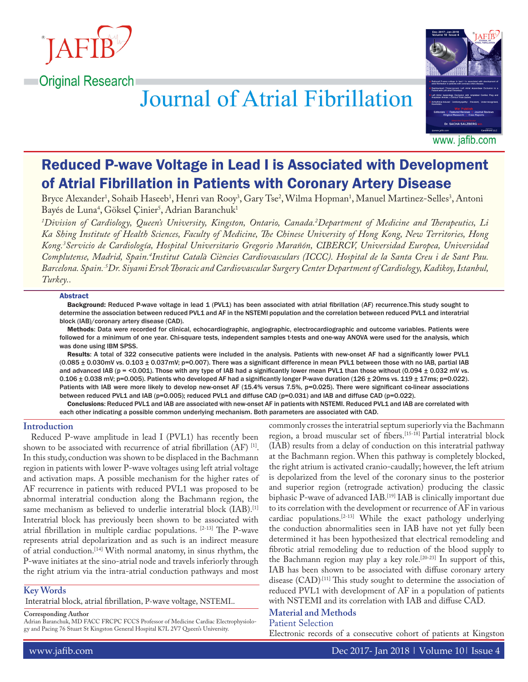

# **Journal of Atrial Fibrillation**



# Reduced P-wave Voltage in Lead I is Associated with Development of Atrial Fibrillation in Patients with Coronary Artery Disease

Bryce Alexander<sup>1</sup>, Sohaib Haseeb<sup>1</sup>, Henri van Rooy<sup>3</sup>, Gary Tse<sup>2</sup>, Wilma Hopman<sup>1</sup>, Manuel Martinez-Selles<sup>3</sup>, Antoni Bayés de Luna<sup>4</sup>, Göksel Çinier<sup>s</sup>, Adrian Baranchuk<sup>1</sup>

*1 Division of Cardiology, Queen's University, Kingston, Ontario, Canada.2 Department of Medicine and Therapeutics, Li Ka Shing Institute of Health Sciences, Faculty of Medicine, The Chinese University of Hong Kong, New Territories, Hong Kong.3 Servicio de Cardiología, Hospital Universitario Gregorio Marañón, CIBERCV, Universidad Europea, Universidad*  Complutense, Madrid, Spain.<sup>4</sup>Institut Català Ciències Cardiovasculars (ICCC). Hospital de la Santa Creu i de Sant Pau. *Barcelona. Spain..5Dr. Siyami Ersek Thoracic and Cardiovascular Surgery Center Department of Cardiology, Kadikoy, Istanbul, Turkey..*

#### Abstract

Background: Reduced P-wave voltage in lead 1 (PVL1) has been associated with atrial fibrillation (AF) recurrence.This study sought to determine the association between reduced PVL1 and AF in the NSTEMI population and the correlation between reduced PVL1 and interatrial block (IAB)/coronary artery disease (CAD).

Methods: Data were recorded for clinical, echocardiographic, angiographic, electrocardiographic and outcome variables. Patients were followed for a minimum of one year. Chi-square tests, independent samples t-tests and one-way ANOVA were used for the analysis, which was done using IBM SPSS.

Results: A total of 322 consecutive patients were included in the analysis. Patients with new-onset AF had a significantly lower PVL1  $(0.085 \pm 0.030$ mV vs.  $0.103 \pm 0.037$ mV; p=0.007). There was a significant difference in mean PVL1 between those with no IAB, partial IAB and advanced IAB (p = <0.001). Those with any type of IAB had a significantly lower mean PVL1 than those without (0.094  $\pm$  0.032 mV vs.  $0.106 \pm 0.038$  mV; p=0.005). Patients who developed AF had a significantly longer P-wave duration (126  $\pm$  20ms vs. 119  $\pm$  17ms; p=0.022). Patients with IAB were more likely to develop new-onset AF (15.4% versus 7.5%, p=0.025). There were significant co-linear associations between reduced PVL1 and IAB (p=0.005); reduced PVL1 and diffuse CAD (p=0.031) and IAB and diffuse CAD (p=0.022).

Conclusions: Reduced PVL1 and IAB are associated with new-onset AF in patients with NSTEMI. Reduced PVL1 and IAB are correlated with each other indicating a possible common underlying mechanism. Both parameters are associated with CAD.

#### **Introduction**

Reduced P-wave amplitude in lead I (PVL1) has recently been shown to be associated with recurrence of atrial fibrillation  $(AF)^{[1]}$ . In this study, conduction was shown to be displaced in the Bachmann region in patients with lower P-wave voltages using left atrial voltage and activation maps. A possible mechanism for the higher rates of AF recurrence in patients with reduced PVL1 was proposed to be abnormal interatrial conduction along the Bachmann region, the same mechanism as believed to underlie interatrial block (IAB).<sup>[1]</sup> Interatrial block has previously been shown to be associated with atrial fibrillation in multiple cardiac populations. [2-13] The P-wave represents atrial depolarization and as such is an indirect measure of atrial conduction.[14] With normal anatomy, in sinus rhythm, the P-wave initiates at the sino-atrial node and travels inferiorly through the right atrium via the intra-atrial conduction pathways and most

#### **Key Words**

Interatrial block, atrial fibrillation, P-wave voltage, NSTEMI..

**Corresponding Author**

Adrian Baranchuk, MD FACC FRCPC FCCS Professor of Medicine Cardiac Electrophysiology and Pacing 76 Stuart St Kingston General Hospital K7L 2V7 Queen's University.

commonly crosses the interatrial septum superiorly via the Bachmann region, a broad muscular set of fibers.[15-18] Partial interatrial block (IAB) results from a delay of conduction on this interatrial pathway at the Bachmann region. When this pathway is completely blocked, the right atrium is activated cranio-caudally; however, the left atrium is depolarized from the level of the coronary sinus to the posterior and superior region (retrograde activation) producing the classic biphasic P-wave of advanced IAB.<sup>[19]</sup> IAB is clinically important due to its correlation with the development or recurrence of AF in various cardiac populations.<sup>[2-13]</sup> While the exact pathology underlying the conduction abnormalities seen in IAB have not yet fully been determined it has been hypothesized that electrical remodeling and fibrotic atrial remodeling due to reduction of the blood supply to the Bachmann region may play a key role.[20-23] In support of this, IAB has been shown to be associated with diffuse coronary artery disease (CAD).<sup>[11]</sup> This study sought to determine the association of reduced PVL1 with development of AF in a population of patients with NSTEMI and its correlation with IAB and diffuse CAD.

## **Material and Methods**

Patient Selection

Electronic records of a consecutive cohort of patients at Kingston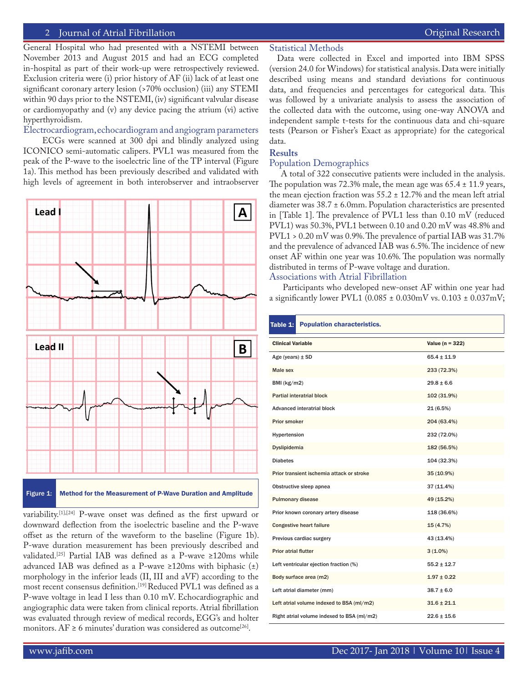#### 2 Journal of Atrial Fibrillation **Community Community** Community Community Community Community Community Community

General Hospital who had presented with a NSTEMI between November 2013 and August 2015 and had an ECG completed in-hospital as part of their work-up were retrospectively reviewed. Exclusion criteria were (i) prior history of AF (ii) lack of at least one significant coronary artery lesion (>70% occlusion) (iii) any STEMI within 90 days prior to the NSTEMI, (iv) significant valvular disease or cardiomyopathy and (v) any device pacing the atrium (vi) active hyperthyroidism.

Electrocardiogram, echocardiogram and angiogram parameters

 ECGs were scanned at 300 dpi and blindly analyzed using ICONICO semi-automatic calipers. PVL1 was measured from the peak of the P-wave to the isoelectric line of the TP interval (Figure 1a). This method has been previously described and validated with high levels of agreement in both interobserver and intraobserver





variability.[1],[24] P-wave onset was defined as the first upward or downward deflection from the isoelectric baseline and the P-wave offset as the return of the waveform to the baseline (Figure 1b). P-wave duration measurement has been previously described and validated.[25] Partial IAB was defined as a P-wave ≥120ms while advanced IAB was defined as a P-wave ≥120ms with biphasic (±) morphology in the inferior leads (II, III and aVF) according to the most recent consensus definition.[19] Reduced PVL1 was defined as a P-wave voltage in lead I less than 0.10 mV. Echocardiographic and angiographic data were taken from clinical reports. Atrial fibrillation was evaluated through review of medical records, EGG's and holter monitors.  $AF \ge 6$  minutes' duration was considered as outcome<sup>[26]</sup>.

#### Statistical Methods

Data were collected in Excel and imported into IBM SPSS (version 24.0 for Windows) for statistical analysis. Data were initially described using means and standard deviations for continuous data, and frequencies and percentages for categorical data. This was followed by a univariate analysis to assess the association of the collected data with the outcome, using one-way ANOVA and independent sample t-tests for the continuous data and chi-square tests (Pearson or Fisher's Exact as appropriate) for the categorical data.

#### **Results**

#### Population Demographics

 A total of 322 consecutive patients were included in the analysis. The population was 72.3% male, the mean age was  $65.4 \pm 11.9$  years, the mean ejection fraction was  $55.2 \pm 12.7$ % and the mean left atrial diameter was 38.7 ± 6.0mm. Population characteristics are presented in [Table 1]. The prevalence of PVL1 less than 0.10 mV (reduced PVL1) was 50.3%, PVL1 between 0.10 and 0.20 mV was 48.8% and PVL1 > 0.20 mV was 0.9%. The prevalence of partial IAB was 31.7% and the prevalence of advanced IAB was 6.5%. The incidence of new onset AF within one year was 10.6%. The population was normally distributed in terms of P-wave voltage and duration. Associations with Atrial Fibrillation

 Participants who developed new-onset AF within one year had a significantly lower PVL1 (0.085 ± 0.030mV vs. 0.103 ± 0.037mV;

| Table $1:$                                 | <b>Population characteristics.</b> |                     |
|--------------------------------------------|------------------------------------|---------------------|
| <b>Clinical Variable</b>                   |                                    | Value ( $n = 322$ ) |
| Age (years) $\pm$ SD                       |                                    | $65.4 \pm 11.9$     |
| Male sex                                   |                                    | 233 (72.3%)         |
| BMI (kg/m2)                                |                                    | $29.8 \pm 6.6$      |
| Partial interatrial block                  |                                    | 102 (31.9%)         |
| <b>Advanced interatrial block</b>          |                                    | 21(6.5%)            |
| Prior smoker                               |                                    | 204 (63.4%)         |
| Hypertension                               |                                    | 232 (72.0%)         |
| Dyslipidemia                               |                                    | 182 (56.5%)         |
| <b>Diabetes</b>                            |                                    | 104 (32.3%)         |
| Prior transient ischemia attack or stroke  |                                    | 35 (10.9%)          |
| Obstructive sleep apnea                    |                                    | 37 (11.4%)          |
| <b>Pulmonary disease</b>                   |                                    | 49 (15.2%)          |
| Prior known coronary artery disease        |                                    | 118 (36.6%)         |
| <b>Congestive heart failure</b>            |                                    | 15(4.7%)            |
| Previous cardiac surgery                   |                                    | 43 (13.4%)          |
| <b>Prior atrial flutter</b>                |                                    | $3(1.0\%)$          |
| Left ventricular ejection fraction (%)     |                                    | $55.2 \pm 12.7$     |
| Body surface area (m2)                     |                                    | $1.97 \pm 0.22$     |
| Left atrial diameter (mm)                  |                                    | $38.7 \pm 6.0$      |
| Left atrial volume indexed to BSA (ml/m2)  |                                    | $31.6 \pm 21.1$     |
| Right atrial volume indexed to BSA (ml/m2) |                                    | $22.6 \pm 15.6$     |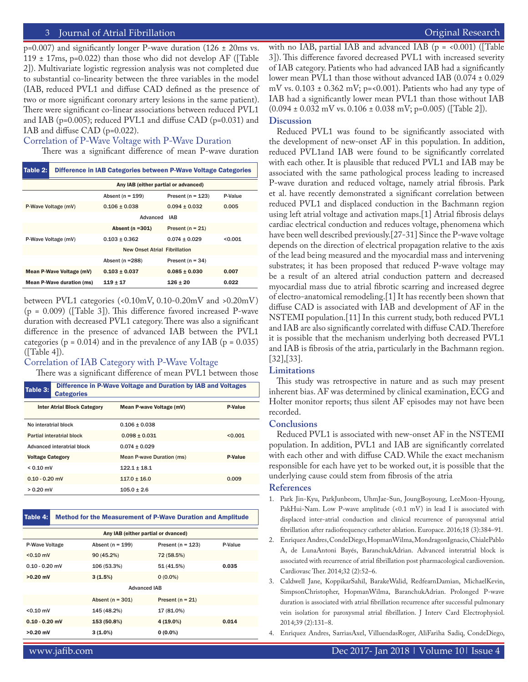#### 3 Journal of Atrial Fibrillation **Secure 2018** 1999 12:30 The Contract Extended Research **Featured Research** Featured Review of The Contract Extended Research **Featured Research Featured Research Featured Research**

 $p=0.007$ ) and significantly longer P-wave duration (126  $\pm$  20ms vs. 119  $\pm$  17ms, p=0.022) than those who did not develop AF ([Table 2]). Multivariate logistic regression analysis was not completed due to substantial co-linearity between the three variables in the model (IAB, reduced PVL1 and diffuse CAD defined as the presence of two or more significant coronary artery lesions in the same patient). There were significant co-linear associations between reduced PVL1 and IAB (p=0.005); reduced PVL1 and diffuse CAD (p=0.031) and IAB and diffuse CAD (p=0.022).

#### Correlation of P-Wave Voltage with P-Wave Duration

There was a significant difference of mean P-wave duration

| Table 2:                             | Difference in IAB Categories between P-Wave Voltage Categories |                                      |                       |         |  |
|--------------------------------------|----------------------------------------------------------------|--------------------------------------|-----------------------|---------|--|
| Any IAB (either partial or advanced) |                                                                |                                      |                       |         |  |
|                                      |                                                                | Absent ( $n = 199$ )                 | Present ( $n = 123$ ) | P-Value |  |
| P-Wave Voltage (mV)                  |                                                                | $0.106 + 0.038$                      | $0.094 + 0.032$       | 0.005   |  |
|                                      |                                                                | Advanced<br><b>IAB</b>               |                       |         |  |
|                                      |                                                                | Absent ( $n = 301$ )                 | Present $(n = 21)$    |         |  |
| P-Wave Voltage (mV)                  |                                                                | $0.103 + 0.362$                      | $0.074 + 0.029$       | < 0.001 |  |
|                                      |                                                                | <b>New Onset Atrial Fibrillation</b> |                       |         |  |
|                                      |                                                                | Absent ( $n = 288$ )                 | Present ( $n = 34$ )  |         |  |
| Mean P-Wave Voltage (mV)             |                                                                | $0.103 + 0.037$                      | $0.085 + 0.030$       | 0.007   |  |
| Mean P-Wave duration (ms)            |                                                                | $119 \pm 17$                         | $126 + 20$            | 0.022   |  |

between PVL1 categories (<0.10mV, 0.10-0.20mV and >0.20mV) (p = 0.009) ([Table 3]). This difference favored increased P-wave duration with decreased PVL1 category. There was also a significant difference in the presence of advanced IAB between the PVL1 categories ( $p = 0.014$ ) and in the prevalence of any IAB ( $p = 0.035$ )  $(Table 4)$ .

#### Correlation of IAB Category with P-Wave Voltage

There was a significant difference of mean PVL1 between those

| Table 3:<br><b>Categories</b>      | Difference in P-Wave Voltage and Duration by IAB and Voltages |         |  |  |  |
|------------------------------------|---------------------------------------------------------------|---------|--|--|--|
| <b>Inter Atrial Block Category</b> | Mean P-wave Voltage (mV)                                      | P-Value |  |  |  |
| No interatrial block               | $0.106 + 0.038$                                               |         |  |  |  |
| Partial interatrial block          | $0.098 + 0.031$                                               | < 0.001 |  |  |  |
| Advanced interatrial block         | $0.074 + 0.029$                                               |         |  |  |  |
| <b>Voltage Category</b>            | Mean P-wave Duration (ms)                                     | P-Value |  |  |  |
| $< 0.10$ mV                        | $122.1 + 18.1$                                                |         |  |  |  |
| $0.10 - 0.20$ mV                   | $117.0 + 16.0$                                                | 0.009   |  |  |  |
| $> 0.20$ mV                        | $105.0 + 2.6$                                                 |         |  |  |  |

#### Table 4: Method for the Measurement of P-Wave Duration and Amplitude

| Any IAB (either partial or dvanced) |                      |                       |         |  |  |  |
|-------------------------------------|----------------------|-----------------------|---------|--|--|--|
| P-Wave Voltage                      | Absent ( $n = 199$ ) | Present ( $n = 123$ ) | P-Value |  |  |  |
| $< 0.10$ mV                         | 90 (45.2%)           | 72 (58.5%)            |         |  |  |  |
| $0.10 - 0.20$ mV                    | 106 (53.3%)          | 51 (41.5%)            | 0.035   |  |  |  |
| $>0.20$ mV                          | 3(1.5%)              | $0(0.0\%)$            |         |  |  |  |
| <b>Advanced IAB</b>                 |                      |                       |         |  |  |  |
|                                     | Absent ( $n = 301$ ) | Present ( $n = 21$ )  |         |  |  |  |
| $< 0.10$ mV                         | 145 (48.2%)          | 17 (81.0%)            |         |  |  |  |
| $0.10 - 0.20$ mV                    | 153 (50.8%)          | $4(19.0\%)$           | 0.014   |  |  |  |
| $>0.20$ mV                          | $3(1.0\%)$           | $0(0.0\%)$            |         |  |  |  |

with no IAB, partial IAB and advanced IAB  $(p = 0.001)$  ([Table 3]). This difference favored decreased PVL1 with increased severity of IAB category. Patients who had advanced IAB had a significantly lower mean PVL1 than those without advanced IAB (0.074 ± 0.029 mV vs.  $0.103 \pm 0.362$  mV; p=<0.001). Patients who had any type of IAB had a significantly lower mean PVL1 than those without IAB  $(0.094 \pm 0.032 \text{ mV vs. } 0.106 \pm 0.038 \text{ mV}; \text{p=0.005})$  ([Table 2]).

#### **Discussion**

Reduced PVL1 was found to be significantly associated with the development of new-onset AF in this population. In addition, reduced PVL1and IAB were found to be significantly correlated with each other. It is plausible that reduced PVL1 and IAB may be associated with the same pathological process leading to increased P-wave duration and reduced voltage, namely atrial fibrosis. Park et al. have recently demonstrated a significant correlation between reduced PVL1 and displaced conduction in the Bachmann region using left atrial voltage and activation maps.[1] Atrial fibrosis delays cardiac electrical conduction and reduces voltage, phenomena which have been well described previously.[27-31] Since the P-wave voltage depends on the direction of electrical propagation relative to the axis of the lead being measured and the myocardial mass and intervening substrates; it has been proposed that reduced P-wave voltage may be a result of an altered atrial conduction pattern and decreased myocardial mass due to atrial fibrotic scarring and increased degree of electro-anatomical remodeling.[1] It has recently been shown that diffuse CAD is associated with IAB and development of AF in the NSTEMI population.[11] In this current study, both reduced PVL1 and IAB are also significantly correlated with diffuse CAD. Therefore it is possible that the mechanism underlying both decreased PVL1 and IAB is fibrosis of the atria, particularly in the Bachmann region. [32],[33].

#### **Limitations**

This study was retrospective in nature and as such may present inherent bias. AF was determined by clinical examination, ECG and Holter monitor reports; thus silent AF episodes may not have been recorded.

#### **Conclusions**

Reduced PVL1 is associated with new-onset AF in the NSTEMI population. In addition, PVL1 and IAB are significantly correlated with each other and with diffuse CAD. While the exact mechanism responsible for each have yet to be worked out, it is possible that the underlying cause could stem from fibrosis of the atria

#### **References**

- 1. Park Jin-Kyu, ParkJunbeom, UhmJae-Sun, JoungBoyoung, LeeMoon-Hyoung, PakHui-Nam. Low P-wave amplitude (<0.1 mV) in lead I is associated with displaced inter-atrial conduction and clinical recurrence of paroxysmal atrial fibrillation after radiofrequency catheter ablation. Europace. 2016;18 (3):384–91.
- 2. Enriquez Andres, CondeDiego, HopmanWilma, MondragonIgnacio, ChialePablo A, de LunaAntoni Bayés, BaranchukAdrian. Advanced interatrial block is associated with recurrence of atrial fibrillation post pharmacological cardioversion. Cardiovasc Ther. 2014;32 (2):52–6.
- 3. Caldwell Jane, KoppikarSahil, BarakeWalid, RedfearnDamian, MichaelKevin, SimpsonChristopher, HopmanWilma, BaranchukAdrian. Prolonged P-wave duration is associated with atrial fibrillation recurrence after successful pulmonary vein isolation for paroxysmal atrial fibrillation. J Interv Card Electrophysiol. 2014;39 (2):131–8.

4. Enriquez Andres, SarriasAxel, VilluendasRoger, AliFariha Sadiq, CondeDiego,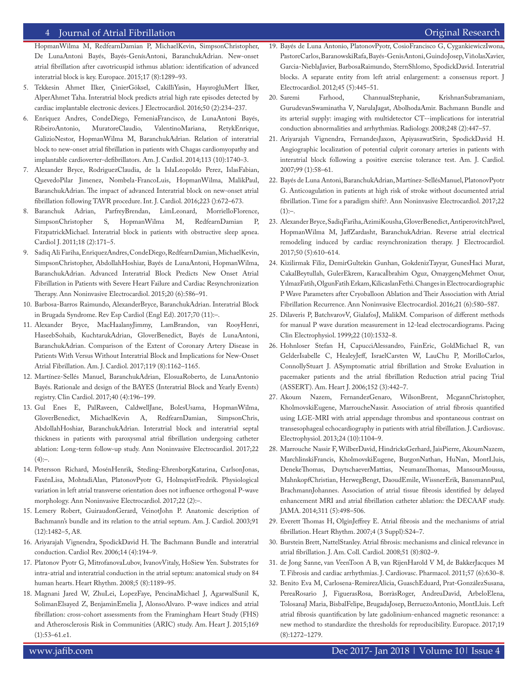#### 4 Journal of Atrial Fibrillation **Access 2018** 1999 12:30 November 2018 12:30 November 2018 12:30 November 2019

HopmanWilma M, RedfearnDamian P, MichaelKevin, SimpsonChristopher, De LunaAntoni Bayés, Bayés-GenísAntoni, BaranchukAdrian. New-onset atrial fibrillation after cavotricuspid isthmus ablation: identification of advanced interatrial block is key. Europace. 2015;17 (8):1289–93.

- 5. Tekkesin Ahmet Ilker, ÇinierGöksel, CakilliYasin, HayıroğluMert İlker, AlperAhmet Taha. Interatrial block predicts atrial high rate episodes detected by cardiac implantable electronic devices. J Electrocardiol. 2016;50 (2):234–237.
- 6. Enriquez Andres, CondeDiego, FemeniaFrancisco, de LunaAntoni Bayés, RibeiroAntonio, MuratoreClaudio, ValentinoMariana, RetykEnrique, GalizioNestor, HopmanWilma M, BaranchukAdrian. Relation of interatrial block to new-onset atrial fibrillation in patients with Chagas cardiomyopathy and implantable cardioverter-defibrillators. Am. J. Cardiol. 2014;113 (10):1740–3.
- 7. Alexander Bryce, RodriguezClaudia, de la IslaLeopoldo Perez, IslasFabian, QuevedoPilar Jimenez, Nombela-FrancoLuis, HopmanWilma, MalikPaul, BaranchukAdrian. The impact of advanced Interatrial block on new-onset atrial fibrillation following TAVR procedure. Int. J. Cardiol. 2016;223 ():672–673.
- 8. Baranchuk Adrian, ParfreyBrendan, LimLeonard, MorrielloFlorence, SimpsonChristopher S, HopmanWilma M, RedfearnDamian P, FitzpatrickMichael. Interatrial block in patients with obstructive sleep apnea. Cardiol J. 2011;18 (2):171–5.
- 9. Sadiq Ali Fariha, EnriquezAndres, CondeDiego, RedfearnDamian, MichaelKevin, SimpsonChristopher, AbdollahHoshiar, Bayés de LunaAntoni, HopmanWilma, BaranchukAdrian. Advanced Interatrial Block Predicts New Onset Atrial Fibrillation in Patients with Severe Heart Failure and Cardiac Resynchronization Therapy. Ann Noninvasive Electrocardiol. 2015;20 (6):586–91.
- 10. Barbosa-Barros Raimundo, AlexanderBryce, BaranchukAdrian. Interatrial Block in Brugada Syndrome. Rev Esp Cardiol (Engl Ed). 2017;70 (11):–.
- 11. Alexander Bryce, MacHaalanyJimmy, LamBrandon, van RooyHenri, HaseebSohaib, KuchtarukAdrian, GloverBenedict, Bayés de LunaAntoni, BaranchukAdrian. Comparison of the Extent of Coronary Artery Disease in Patients With Versus Without Interatrial Block and Implications for New-Onset Atrial Fibrillation. Am. J. Cardiol. 2017;119 (8):1162–1165.
- 12. Martínez-Sellés Manuel, BaranchukAdrian, ElosuaRoberto, de LunaAntonio Bayés. Rationale and design of the BAYES (Interatrial Block and Yearly Events) registry. Clin Cardiol. 2017;40 (4):196–199.
- 13. Gul Enes E, PalRaveen, CaldwellJane, BolesUsama, HopmanWilma, GloverBenedict, MichaelKevin A, RedfearnDamian, SimpsonChris, AbdollahHoshiar, BaranchukAdrian. Interatrial block and interatrial septal thickness in patients with paroxysmal atrial fibrillation undergoing catheter ablation: Long-term follow-up study. Ann Noninvasive Electrocardiol. 2017;22  $(4):-.$
- 14. Petersson Richard, MosénHenrik, Steding-EhrenborgKatarina, CarlsonJonas, FaxénLisa, MohtadiAlan, PlatonovPyotr G, HolmqvistFredrik. Physiological variation in left atrial transverse orientation does not influence orthogonal P-wave morphology. Ann Noninvasive Electrocardiol. 2017;22 (2):–.
- 15. Lemery Robert, GuiraudonGerard, VeinotJohn P. Anatomic description of Bachmann's bundle and its relation to the atrial septum. Am. J. Cardiol. 2003;91 (12):1482–5, A8.
- 16. Ariyarajah Vignendra, SpodickDavid H. The Bachmann Bundle and interatrial conduction. Cardiol Rev. 2006;14 (4):194–9.
- 17. Platonov Pyotr G, MitrofanovaLubov, IvanovVitaly, HoSiew Yen. Substrates for intra-atrial and interatrial conduction in the atrial septum: anatomical study on 84 human hearts. Heart Rhythm. 2008;5 (8):1189–95.
- 18. Magnani Jared W, ZhuLei, LopezFaye, PencinaMichael J, AgarwalSunil K, SolimanElsayed Z, BenjaminEmelia J, AlonsoAlvaro. P-wave indices and atrial fibrillation: cross-cohort assessments from the Framingham Heart Study (FHS) and Atherosclerosis Risk in Communities (ARIC) study. Am. Heart J. 2015;169 (1):53–61.e1.
- 19. Bayés de Luna Antonio, PlatonovPyotr, CosioFrancisco G, CygankiewiczIwona, PastoreCarlos, BaranowskiRafa, Bayés-GenisAntoni, GuindoJosep, ViñolasXavier, Garcia-NieblaJavier, BarbosaRaimundo, SternShlomo, SpodickDavid. Interatrial blocks. A separate entity from left atrial enlargement: a consensus report. J Electrocardiol. 2012;45 (5):445–51.
- 20. Saremi Farhood, ChannualStephanie, KrishnanSubramaniam, GurudevanSwaminatha V, NarulaJagat, AbolhodaAmir. Bachmann Bundle and its arterial supply: imaging with multidetector CT--implications for interatrial conduction abnormalities and arrhythmias. Radiology. 2008;248 (2):447–57.
- 21. Ariyarajah Vignendra, FernandesJaxon, ApiyasawatSirin, SpodickDavid H. Angiographic localization of potential culprit coronary arteries in patients with interatrial block following a positive exercise tolerance test. Am. J. Cardiol. 2007;99 (1):58–61.
- 22. Bayés de Luna Antoni, BaranchukAdrian, Martínez-SellésManuel, PlatonovPyotr G. Anticoagulation in patients at high risk of stroke without documented atrial fibrillation. Time for a paradigm shift?. Ann Noninvasive Electrocardiol. 2017;22  $(1):-.$
- 23. Alexander Bryce, SadiqFariha, AzimiKousha, GloverBenedict, AntiperovitchPavel, HopmanWilma M, JaffZardasht, BaranchukAdrian. Reverse atrial electrical remodeling induced by cardiac resynchronization therapy. J Electrocardiol. 2017;50 (5):610–614.
- 24. Kizilirmak Filiz, DemirGultekin Gunhan, GokdenizTayyar, GunesHaci Murat, CakalBeytullah, GulerEkrem, Karacaİbrahim Oguz, OmaygençMehmet Onur, YılmazFatih, OlgunFatih Erkam, KilicaslanFethi. Changes in Electrocardiographic P Wave Parameters after Cryoballoon Ablation and Their Association with Atrial Fibrillation Recurrence. Ann Noninvasive Electrocardiol. 2016;21 (6):580–587.
- 25. Dilaveris P, BatchvarovV, GialafosJ, MalikM. Comparison of different methods for manual P wave duration measurement in 12-lead electrocardiograms. Pacing Clin Electrophysiol. 1999;22 (10):1532–8.
- 26. Hohnloser Stefan H, CapucciAlessandro, FainEric, GoldMichael R, van GelderIsabelle C, HealeyJeff, IsraelCarsten W, LauChu P, MorilloCarlos, ConnollyStuart J. ASymptomatic atrial fibrillation and Stroke Evaluation in pacemaker patients and the atrial fibrillation Reduction atrial pacing Trial (ASSERT). Am. Heart J. 2006;152 (3):442–7.
- 27. Akoum Nazem, FernandezGenaro, WilsonBrent, McgannChristopher, KholmovskiEugene, MarroucheNassir. Association of atrial fibrosis quantified using LGE-MRI with atrial appendage thrombus and spontaneous contrast on transesophageal echocardiography in patients with atrial fibrillation. J. Cardiovasc. Electrophysiol. 2013;24 (10):1104–9.
- 28. Marrouche Nassir F, WilberDavid, HindricksGerhard, JaisPierre, AkoumNazem, MarchlinskiFrancis, KholmovskiEugene, BurgonNathan, HuNan, MontLluis, DenekeThomas, DuytschaeverMattias, NeumannThomas, MansourMoussa, MahnkopfChristian, HerwegBengt, DaoudEmile, WissnerErik, BansmannPaul, BrachmannJohannes. Association of atrial tissue fibrosis identified by delayed enhancement MRI and atrial fibrillation catheter ablation: the DECAAF study. JAMA. 2014;311 (5):498–506.
- 29. Everett Thomas H, OlginJeffrey E. Atrial fibrosis and the mechanisms of atrial fibrillation. Heart Rhythm. 2007;4 (3 Suppl):S24–7.
- 30. Burstein Brett, NattelStanley. Atrial fibrosis: mechanisms and clinical relevance in atrial fibrillation. J. Am. Coll. Cardiol. 2008;51 (8):802–9.
- 31. de Jong Sanne, van VeenToon A B, van RijenHarold V M, de BakkerJacques M T. Fibrosis and cardiac arrhythmias. J. Cardiovasc. Pharmacol. 2011;57 (6):630–8.
- 32. Benito Eva M, Carlosena-RemirezAlicia, GuaschEduard, Prat-GonzálezSusana, PereaRosario J, FiguerasRosa, BorràsRoger, AndreuDavid, ArbeloElena, TolosanaJ Maria, BisbalFelipe, BrugadaJosep, BerruezoAntonio, MontLluis. Left atrial fibrosis quantification by late gadolinium-enhanced magnetic resonance: a new method to standardize the thresholds for reproducibility. Europace. 2017;19 (8):1272–1279.